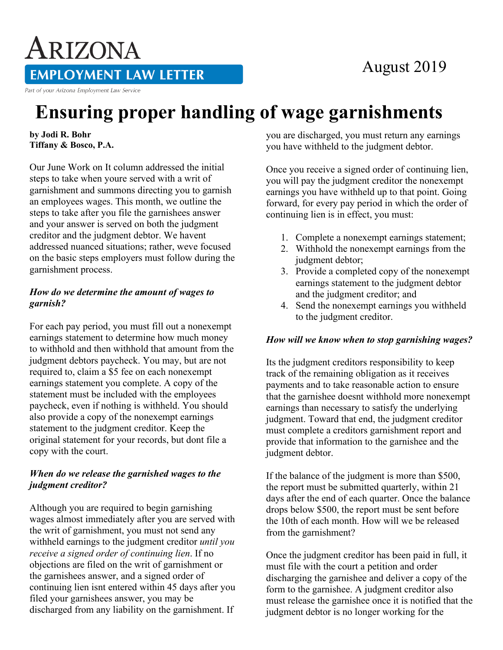## August 2019

### **EMPLOYMENT LAW LETTER**

Part of your Arizona Employment Law Service

ARIZONA

# **Ensuring proper handling of wage garnishments**

**by Jodi R. Bohr Tiffany & Bosco, P.A.** 

Our June Work on It column addressed the initial steps to take when youre served with a writ of garnishment and summons directing you to garnish an employees wages. This month, we outline the steps to take after you file the garnishees answer and your answer is served on both the judgment creditor and the judgment debtor. We havent addressed nuanced situations; rather, weve focused on the basic steps employers must follow during the garnishment process.

#### *How do we determine the amount of wages to garnish?*

For each pay period, you must fill out a nonexempt earnings statement to determine how much money to withhold and then withhold that amount from the judgment debtors paycheck. You may, but are not required to, claim a \$5 fee on each nonexempt earnings statement you complete. A copy of the statement must be included with the employees paycheck, even if nothing is withheld. You should also provide a copy of the nonexempt earnings statement to the judgment creditor. Keep the original statement for your records, but dont file a copy with the court.

#### *When do we release the garnished wages to the judgment creditor?*

Although you are required to begin garnishing wages almost immediately after you are served with the writ of garnishment, you must not send any withheld earnings to the judgment creditor *until you receive a signed order of continuing lien*. If no objections are filed on the writ of garnishment or the garnishees answer, and a signed order of continuing lien isnt entered within 45 days after you filed your garnishees answer, you may be discharged from any liability on the garnishment. If

you are discharged, you must return any earnings you have withheld to the judgment debtor.

Once you receive a signed order of continuing lien, you will pay the judgment creditor the nonexempt earnings you have withheld up to that point. Going forward, for every pay period in which the order of continuing lien is in effect, you must:

- 1. Complete a nonexempt earnings statement;
- 2. Withhold the nonexempt earnings from the judgment debtor;
- 3. Provide a completed copy of the nonexempt earnings statement to the judgment debtor and the judgment creditor; and
- 4. Send the nonexempt earnings you withheld to the judgment creditor.

#### *How will we know when to stop garnishing wages?*

Its the judgment creditors responsibility to keep track of the remaining obligation as it receives payments and to take reasonable action to ensure that the garnishee doesnt withhold more nonexempt earnings than necessary to satisfy the underlying judgment. Toward that end, the judgment creditor must complete a creditors garnishment report and provide that information to the garnishee and the judgment debtor.

If the balance of the judgment is more than \$500, the report must be submitted quarterly, within 21 days after the end of each quarter. Once the balance drops below \$500, the report must be sent before the 10th of each month. How will we be released from the garnishment?

Once the judgment creditor has been paid in full, it must file with the court a petition and order discharging the garnishee and deliver a copy of the form to the garnishee. A judgment creditor also must release the garnishee once it is notified that the judgment debtor is no longer working for the